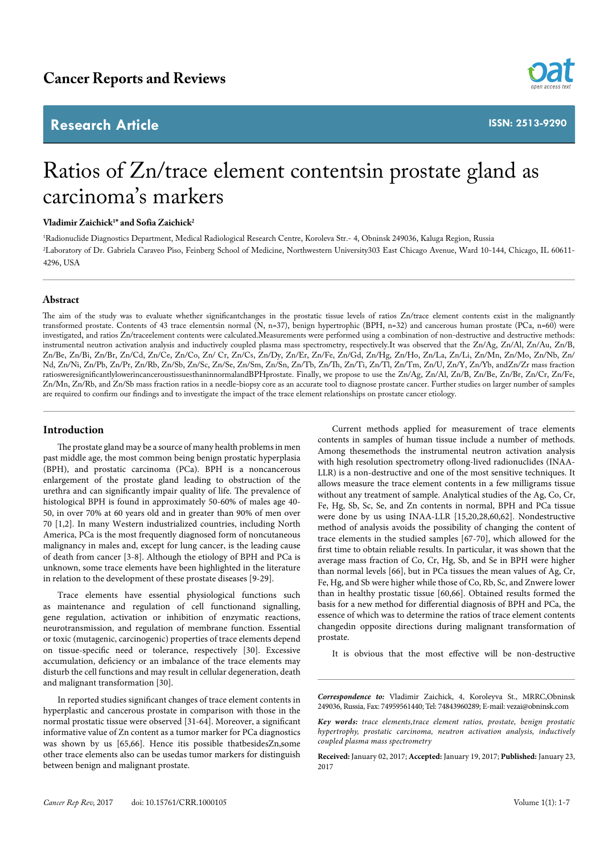## **Research Article**



**ISSN: 2513-9290**

# Ratios of Zn/trace element contentsin prostate gland as carcinoma's markers

### **Vladimir Zaichick1 \* and Sofia Zaichick2**

1 Radionuclide Diagnostics Department, Medical Radiological Research Centre, Koroleva Str.- 4, Obninsk 249036, Kaluga Region, Russia 2 Laboratory of Dr. Gabriela Caraveo Piso, Feinberg School of Medicine, Northwestern University303 East Chicago Avenue, Ward 10-144, Chicago, IL 60611- 4296, USA

#### **Abstract**

The aim of the study was to evaluate whether significantchanges in the prostatic tissue levels of ratios Zn/trace element contents exist in the malignantly transformed prostate. Contents of 43 trace elementsin normal (N, n=37), benign hypertrophic (BPH, n=32) and cancerous human prostate (PCa, n=60) were investigated, and ratios Zn/traceelement contents were calculated.Measurements were performed using a combination of non-destructive and destructive methods: instrumental neutron activation analysis and inductively coupled plasma mass spectrometry, respectively.It was observed that the Zn/Ag, Zn/Al, Zn/Au, Zn/B, Zn/Be, Zn/Bi, Zn/Br, Zn/Cd, Zn/Ce, Zn/Co, Zn/ Cr, Zn/Cs, Zn/Dy, Zn/Er, Zn/Fe, Zn/Gd, Zn/Hg, Zn/Ho, Zn/La, Zn/Li, Zn/Mn, Zn/Mo, Zn/Nb, Zn/ Nd, Zn/Ni, Zn/Pb, Zn/Pr, Zn/Rb, Zn/Sb, Zn/Sc, Zn/Se, Zn/Sm, Zn/Sn, Zn/Tb, Zn/Th, Zn/Ti, Zn/Tl, Zn/Tm, Zn/U, Zn/Y, Zn/Yb, andZn/Zr mass fraction ratiosweresignificantlylowerincanceroustissuesthaninnormalandBPHprostate. Finally, we propose to use the Zn/Ag, Zn/Al, Zn/B, Zn/Be, Zn/Br, Zn/Cr, Zn/Fe, Zn/Mn, Zn/Rb, and Zn/Sb mass fraction ratios in a needle-biopsy core as an accurate tool to diagnose prostate cancer. Further studies on larger number of samples are required to confirm our findings and to investigate the impact of the trace element relationships on prostate cancer etiology.

#### **Introduction**

The prostate gland may be a source of many health problems in men past middle age, the most common being benign prostatic hyperplasia (BPH), and prostatic carcinoma (PCa). BPH is a noncancerous enlargement of the prostate gland leading to obstruction of the urethra and can significantly impair quality of life. The prevalence of histological BPH is found in approximately 50-60% of males age 40- 50, in over 70% at 60 years old and in greater than 90% of men over 70 [1,2]. In many Western industrialized countries, including North America, PCa is the most frequently diagnosed form of noncutaneous malignancy in males and, except for lung cancer, is the leading cause of death from cancer [3-8]. Although the etiology of BPH and PCa is unknown, some trace elements have been highlighted in the literature in relation to the development of these prostate diseases [9-29].

Trace elements have essential physiological functions such as maintenance and regulation of cell functionand signalling, gene regulation, activation or inhibition of enzymatic reactions, neurotransmission, and regulation of membrane function. Essential or toxic (mutagenic, carcinogenic) properties of trace elements depend on tissue-specific need or tolerance, respectively [30]. Excessive accumulation, deficiency or an imbalance of the trace elements may disturb the cell functions and may result in cellular degeneration, death and malignant transformation [30].

In reported studies significant changes of trace element contents in hyperplastic and cancerous prostate in comparison with those in the normal prostatic tissue were observed [31-64]. Moreover, a significant informative value of Zn content as a tumor marker for PCa diagnostics was shown by us [65,66]. Hence itis possible thatbesidesZn,some other trace elements also can be usedas tumor markers for distinguish between benign and malignant prostate.

Current methods applied for measurement of trace elements contents in samples of human tissue include a number of methods. Among thesemethods the instrumental neutron activation analysis with high resolution spectrometry oflong-lived radionuclides (INAA-LLR) is a non-destructive and one of the most sensitive techniques. It allows measure the trace element contents in a few milligrams tissue without any treatment of sample. Analytical studies of the Ag, Co, Cr, Fe, Hg, Sb, Sc, Se, and Zn contents in normal, BPH and PCa tissue were done by us using INAA-LLR [15,20,28,60,62]. Nondestructive method of analysis avoids the possibility of changing the content of trace elements in the studied samples [67-70], which allowed for the first time to obtain reliable results. In particular, it was shown that the average mass fraction of Co, Cr, Hg, Sb, and Se in BPH were higher than normal levels [66], but in PCa tissues the mean values of Ag, Cr, Fe, Hg, and Sb were higher while those of Co, Rb, Sc, and Znwere lower than in healthy prostatic tissue [60,66]. Obtained results formed the basis for a new method for differential diagnosis of BPH and PCa, the essence of which was to determine the ratios of trace element contents changedin opposite directions during malignant transformation of prostate.

It is obvious that the most effective will be non-destructive

*Correspondence to:* Vladimir Zaichick, 4, Koroleyva St., MRRC,Obninsk 249036, Russia, Fax: 74959561440; Tel: 74843960289; E-mail: vezai@obninsk.com

*Key words: trace elements,trace element ratios, prostate, benign prostatic hypertrophy, prostatic carcinoma, neutron activation analysis, inductively coupled plasma mass spectrometry*

**Received:** January 02, 2017; **Accepted:** January 19, 2017; **Published:** January 23, 2017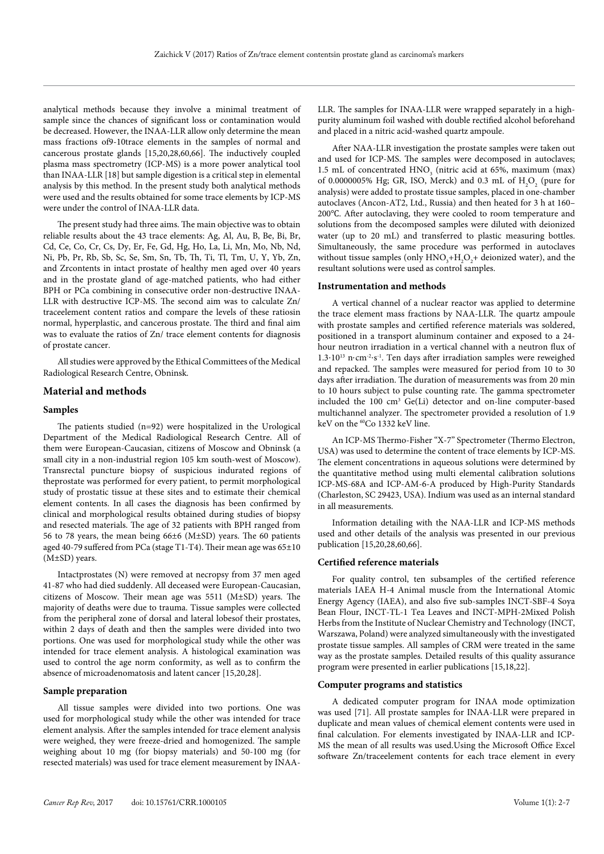analytical methods because they involve a minimal treatment of sample since the chances of significant loss or contamination would be decreased. However, the INAA-LLR allow only determine the mean mass fractions of9-10trace elements in the samples of normal and cancerous prostate glands [15,20,28,60,66]. The inductively coupled plasma mass spectrometry (ICP-MS) is a more power analytical tool than INAA-LLR [18] but sample digestion is a critical step in elemental analysis by this method. In the present study both analytical methods were used and the results obtained for some trace elements by ICP-MS were under the control of INAA-LLR data.

The present study had three aims. The main objective was to obtain reliable results about the 43 trace elements: Ag, Al, Au, B, Be, Bi, Br, Cd, Ce, Co, Cr, Cs, Dy, Er, Fe, Gd, Hg, Ho, La, Li, Mn, Mo, Nb, Nd, Ni, Pb, Pr, Rb, Sb, Sc, Se, Sm, Sn, Tb, Th, Ti, Tl, Tm, U, Y, Yb, Zn, and Zrcontents in intact prostate of healthy men aged over 40 years and in the prostate gland of age-matched patients, who had either BPH or PCa combining in consecutive order non-destructive INAA-LLR with destructive ICP-MS. The second aim was to calculate Zn/ traceelement content ratios and compare the levels of these ratiosin normal, hyperplastic, and cancerous prostate. The third and final aim was to evaluate the ratios of Zn/ trace element contents for diagnosis of prostate cancer.

All studies were approved by the Ethical Committees of the Medical Radiological Research Centre, Obninsk.

#### **Material and methods**

#### **Samples**

The patients studied (n=92) were hospitalized in the Urological Department of the Medical Radiological Research Centre. All of them were European-Caucasian, citizens of Moscow and Obninsk (a small city in a non-industrial region 105 km south-west of Moscow). Transrectal puncture biopsy of suspicious indurated regions of theprostate was performed for every patient, to permit morphological study of prostatic tissue at these sites and to estimate their chemical element contents. In all cases the diagnosis has been confirmed by clinical and morphological results obtained during studies of biopsy and resected materials. The age of 32 patients with BPH ranged from 56 to 78 years, the mean being 66±6 (M±SD) years. The 60 patients aged 40-79 suffered from PCa (stage T1-T4). Their mean age was 65±10 (M±SD) years.

Intactprostates (N) were removed at necropsy from 37 men aged 41-87 who had died suddenly. All deceased were European-Caucasian, citizens of Moscow. Their mean age was 5511 (M±SD) years. The majority of deaths were due to trauma. Tissue samples were collected from the peripheral zone of dorsal and lateral lobesof their prostates, within 2 days of death and then the samples were divided into two portions. One was used for morphological study while the other was intended for trace element analysis. A histological examination was used to control the age norm conformity, as well as to confirm the absence of microadenomatosis and latent cancer [15,20,28].

#### **Sample preparation**

All tissue samples were divided into two portions. One was used for morphological study while the other was intended for trace element analysis. After the samples intended for trace element analysis were weighed, they were freeze-dried and homogenized. The sample weighing about 10 mg (for biopsy materials) and 50-100 mg (for resected materials) was used for trace element measurement by INAA-

LLR. The samples for INAA-LLR were wrapped separately in a highpurity aluminum foil washed with double rectified alcohol beforehand and placed in a nitric acid-washed quartz ampoule.

After NAA-LLR investigation the prostate samples were taken out and used for ICP-MS. The samples were decomposed in autoclaves; 1.5 mL of concentrated  $HNO<sub>3</sub>$  (nitric acid at 65%, maximum (max) of 0.0000005% Hg; GR, ISO, Merck) and 0.3 mL of  $H_2O_2$  (pure for analysis) were added to prostate tissue samples, placed in one-chamber autoclaves (Ancon-AT2, Ltd., Russia) and then heated for 3 h at 160– 200℃. After autoclaving, they were cooled to room temperature and solutions from the decomposed samples were diluted with deionized water (up to 20 mL) and transferred to plastic measuring bottles. Simultaneously, the same procedure was performed in autoclaves without tissue samples (only  $HNO<sub>3</sub>+H<sub>2</sub>O<sub>2</sub>$ + deionized water), and the resultant solutions were used as control samples.

#### **Instrumentation and methods**

A vertical channel of a nuclear reactor was applied to determine the trace element mass fractions by NAA-LLR. The quartz ampoule with prostate samples and certified reference materials was soldered, positioned in a transport aluminum container and exposed to a 24 hour neutron irradiation in a vertical channel with a neutron flux of 1.3⋅1013 n⋅cm-2⋅s-1. Ten days after irradiation samples were reweighed and repacked. The samples were measured for period from 10 to 30 days after irradiation. The duration of measurements was from 20 min to 10 hours subject to pulse counting rate. The gamma spectrometer included the 100 cm<sup>3</sup> Ge(Li) detector and on-line computer-based multichannel analyzer. The spectrometer provided a resolution of 1.9 keV on the <sup>60</sup>Co 1332 keV line.

An ICP-MS Thermo-Fisher "X-7" Spectrometer (Thermo Electron, USA) was used to determine the content of trace elements by ICP-MS. The element concentrations in aqueous solutions were determined by the quantitative method using multi elemental calibration solutions ICP-MS-68A and ICP-AM-6-A produced by High-Purity Standards (Charleston, SC 29423, USA). Indium was used as an internal standard in all measurements.

Information detailing with the NAA-LLR and ICP-MS methods used and other details of the analysis was presented in our previous publication [15,20,28,60,66].

#### **Certified reference materials**

For quality control, ten subsamples of the certified reference materials IAEA H-4 Animal muscle from the International Atomic Energy Agency (IAEA), and also five sub-samples INCT-SBF-4 Soya Bean Flour, INCT-TL-1 Tea Leaves and INCT-MPH-2Mixed Polish Herbs from the Institute of Nuclear Chemistry and Technology (INCT, Warszawa, Poland) were analyzed simultaneously with the investigated prostate tissue samples. All samples of CRM were treated in the same way as the prostate samples. Detailed results of this quality assurance program were presented in earlier publications [15,18,22].

#### **Computer programs and statistics**

A dedicated computer program for INAA mode optimization was used [71]. All prostate samples for INAA-LLR were prepared in duplicate and mean values of chemical element contents were used in final calculation. For elements investigated by INAA-LLR and ICP-MS the mean of all results was used.Using the Microsoft Office Excel software Zn/traceelement contents for each trace element in every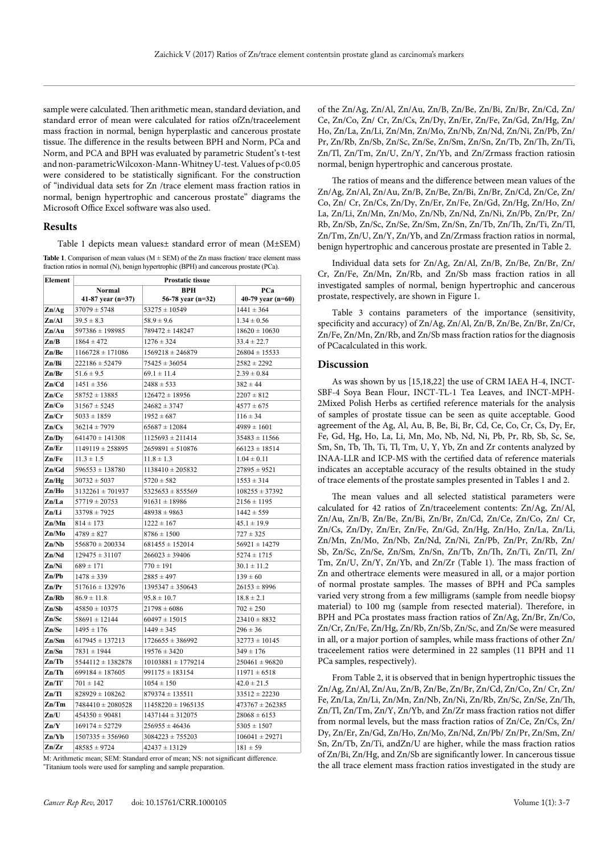sample were calculated. Then arithmetic mean, standard deviation, and standard error of mean were calculated for ratios ofZn/traceelement mass fraction in normal, benign hyperplastic and cancerous prostate tissue. The difference in the results between BPH and Norm, PCa and Norm, and PCA and BPH was evaluated by parametric Student's t-test and non-parametricWilcoxon-Mann-Whitney U-test. Values of p<0.05 were considered to be statistically significant. For the construction of "individual data sets for Zn /trace element mass fraction ratios in normal, benign hypertrophic and cancerous prostate" diagrams the Microsoft Office Excel software was also used.

#### **Results**

Table 1 depicts mean values± standard error of mean (M±SEM)

**Table 1**. Comparison of mean values ( $M \pm SEM$ ) of the Zn mass fraction/ trace element mass fraction ratios in normal (N), benign hypertrophic (BPH) and cancerous prostate (PCa).

| Element                     | <b>Prostatic tissue</b> |                        |                     |  |  |  |
|-----------------------------|-------------------------|------------------------|---------------------|--|--|--|
|                             | Normal                  | <b>BPH</b>             | PCa                 |  |  |  |
|                             | 41-87 year $(n=37)$     | 56-78 year (n=32)      | 40-79 year $(n=60)$ |  |  |  |
| $\mathbf{Zn} \mathbf{Ag}$   | $37079 \pm 5748$        | $53275 \pm 10549$      | $1441 \pm 364$      |  |  |  |
| Zn/Al                       | $39.5 \pm 8.3$          | $58.9 \pm 9.6$         | $1.34 \pm 0.56$     |  |  |  |
| Zn/Au                       | $597386 \pm 198985$     | 789472 ± 148247        | $18620 \pm 10630$   |  |  |  |
| $\mathbf{Zn/B}$             | $1864 \pm 472$          | $1276 \pm 324$         | $33.4 \pm 22.7$     |  |  |  |
| Zn/Be                       | $1166728 \pm 171086$    | $1569218 \pm 246879$   | $26804 \pm 15533$   |  |  |  |
| Zn/Bi                       | $222186 \pm 52479$      | $75425 \pm 36054$      | $2582 \pm 2292$     |  |  |  |
| Zn/Br                       | $51.6 \pm 9.5$          | $69.1 \pm 11.4$        | $2.39 \pm 0.84$     |  |  |  |
| Zn/Cd                       | $1451 \pm 356$          | $2488 \pm 533$         | $382 \pm 44$        |  |  |  |
| Zn/Ce                       | $58752 \pm 13885$       | $126472 \pm 18956$     | $2207 \pm 812$      |  |  |  |
| $\mathbf{Zn}$ /Co           | $31567 \pm 5245$        | $24682 \pm 3747$       | $4577 \pm 675$      |  |  |  |
| $\mathbf{Zn}/\mathbf{Cr}$   | $5033 \pm 1859$         | $1952 \pm 687$         | $116 \pm 34$        |  |  |  |
| Zn/Cs                       | $36214 \pm 7979$        | $65687 \pm 12084$      | $4989 \pm 1601$     |  |  |  |
| Zn/Dv                       | $641470 \pm 141308$     | $1125693 \pm 211414$   | $35483 \pm 11566$   |  |  |  |
| Zn/Er                       | $1149119 \pm 258895$    | $2659891 \pm 510876$   | $66123 \pm 18514$   |  |  |  |
| Zn/Fe                       | $11.3 \pm 1.5$          | $11.8 \pm 1.3$         | $1.04 \pm 0.11$     |  |  |  |
| Zn/Gd                       | $596553 \pm 138780$     | $1138410 \pm 205832$   | $27895 \pm 9521$    |  |  |  |
| Zn/Hg                       | $30732 \pm 5037$        | $5720 \pm 582$         | $1553 \pm 314$      |  |  |  |
| Zn/Ho                       | $3132261 \pm 701937$    | $5325653 \pm 855569$   | $108255 \pm 37392$  |  |  |  |
| Zn/La                       | $57719 \pm 20753$       | $91631 \pm 18986$      | $2156 \pm 1195$     |  |  |  |
| Zn/Li                       | $33798 \pm 7925$        | $48938 \pm 9863$       | $1442 \pm 559$      |  |  |  |
| Zn/Mn                       | $814 \pm 173$           | $1222 \pm 167$         | $45.1 \pm 19.9$     |  |  |  |
| Zn/Mo                       | $4789 \pm 827$          | $8786 \pm 1500$        | $727 \pm 325$       |  |  |  |
| Zn/Nb                       | $556870 \pm 200334$     | $681455 \pm 152014$    | $56921 \pm 14279$   |  |  |  |
| Zn/Nd                       | $129475 \pm 31107$      | $266023 \pm 39406$     | $5274 \pm 1715$     |  |  |  |
| Zn/Ni                       | $689 \pm 171$           | $770 \pm 191$          | $30.1 \pm 11.2$     |  |  |  |
| Zn/Pb                       | $1478 \pm 339$          | $2885 \pm 497$         | $139 \pm 60$        |  |  |  |
| Zn/Pr                       | $517616 \pm 132976$     | $1395347 \pm 350643$   | $26153 \pm 8996$    |  |  |  |
| Zn/Rb                       | $86.9 \pm 11.8$         | $95.8 \pm 10.7$        | $18.8 \pm 2.1$      |  |  |  |
| Zn/Sb                       | $45850 \pm 10375$       | $21798 \pm 6086$       | $702 \pm 250$       |  |  |  |
| Zn/Sc                       | $58691 \pm 12144$       | $60497 \pm 15015$      | $23410 \pm 8832$    |  |  |  |
| Zn/Se                       | $1495 \pm 176$          | $1449 \pm 345$         | $296 \pm 36$        |  |  |  |
| Zn/Sm                       | $617945 \pm 137213$     | $1726655 \pm 386992$   | $32773 \pm 10145$   |  |  |  |
| Zn/Sn                       | $7831 \pm 1944$         | $19576 \pm 3420$       | $349 \pm 176$       |  |  |  |
| Zn/Tb                       | $5544112 \pm 1382878$   | $10103881 \pm 1779214$ | $250461 \pm 96820$  |  |  |  |
| Zn/Th                       | $699184 \pm 187605$     | $991175 \pm 183154$    | $11971 \pm 6518$    |  |  |  |
| $\mathbf{Zn}/\mathbf{Ti}^*$ | $701 \pm 142$           | $1054 \pm 150$         | $42.0 \pm 21.5$     |  |  |  |
| Zn/Tl                       | $828929 \pm 108262$     | $879374 \pm 135511$    | $33512 \pm 22230$   |  |  |  |
| $\mathbf{Zn}/\mathbf{Tm}$   | $7484410 \pm 2080528$   | $11458220 \pm 1965135$ | $473767 \pm 262385$ |  |  |  |
| Zn/U                        | $454350 \pm 90481$      | $1437144 \pm 312075$   | $28068 \pm 6153$    |  |  |  |
| $\mathbf{Zn}/\mathbf{Y}$    | $169174 \pm 52729$      | $256955 \pm 46436$     | $5305 \pm 1507$     |  |  |  |
| Zn/Yb                       | $1507335 \pm 356960$    | $3084223 \pm 755203$   | $106041 \pm 29271$  |  |  |  |
| $\mathbf{Zn}/\mathbf{Zr}$   | $48585 \pm 9724$        | $42437 \pm 13129$      | $181 \pm 59$        |  |  |  |

M: Arithmetic mean; SEM: Standard error of mean; NS: not significant difference. \* Titanium tools were used for sampling and sample preparation.

of the Zn/Ag, Zn/Al, Zn/Au, Zn/B, Zn/Be, Zn/Bi, Zn/Br, Zn/Cd, Zn/ Ce, Zn/Co, Zn/ Cr, Zn/Cs, Zn/Dy, Zn/Er, Zn/Fe, Zn/Gd, Zn/Hg, Zn/ Ho, Zn/La, Zn/Li, Zn/Mn, Zn/Mo, Zn/Nb, Zn/Nd, Zn/Ni, Zn/Pb, Zn/ Pr, Zn/Rb, Zn/Sb, Zn/Sc, Zn/Se, Zn/Sm, Zn/Sn, Zn/Tb, Zn/Th, Zn/Ti, Zn/Tl, Zn/Tm, Zn/U, Zn/Y, Zn/Yb, and Zn/Zrmass fraction ratiosin normal, benign hypertrophic and cancerous prostate.

The ratios of means and the difference between mean values of the Zn/Ag, Zn/Al, Zn/Au, Zn/B, Zn/Be, Zn/Bi, Zn/Br, Zn/Cd, Zn/Ce, Zn/ Co, Zn/ Cr, Zn/Cs, Zn/Dy, Zn/Er, Zn/Fe, Zn/Gd, Zn/Hg, Zn/Ho, Zn/ La, Zn/Li, Zn/Mn, Zn/Mo, Zn/Nb, Zn/Nd, Zn/Ni, Zn/Pb, Zn/Pr, Zn/ Rb, Zn/Sb, Zn/Sc, Zn/Se, Zn/Sm, Zn/Sn, Zn/Tb, Zn/Th, Zn/Ti, Zn/Tl, Zn/Tm, Zn/U, Zn/Y, Zn/Yb, and Zn/Zrmass fraction ratios in normal, benign hypertrophic and cancerous prostate are presented in Table 2.

Individual data sets for Zn/Ag, Zn/Al, Zn/B, Zn/Be, Zn/Br, Zn/ Cr, Zn/Fe, Zn/Mn, Zn/Rb, and Zn/Sb mass fraction ratios in all investigated samples of normal, benign hypertrophic and cancerous prostate, respectively, are shown in Figure 1.

Table 3 contains parameters of the importance (sensitivity, specificity and accuracy) of Zn/Ag, Zn/Al, Zn/B, Zn/Be, Zn/Br, Zn/Cr, Zn/Fe, Zn/Mn, Zn/Rb, and Zn/Sb mass fraction ratios for the diagnosis of PCacalculated in this work.

#### **Discussion**

As was shown by us [15,18,22] the use of CRM IAEA H-4, INCT-SBF-4 Soya Bean Flour, INCT-TL-1 Tea Leaves, and INCT-MPH-2Mixed Polish Herbs as certified reference materials for the analysis of samples of prostate tissue can be seen as quite acceptable. Good agreement of the Ag, Al, Au, B, Be, Bi, Br, Cd, Ce, Co, Cr, Cs, Dy, Er, Fe, Gd, Hg, Ho, La, Li, Mn, Mo, Nb, Nd, Ni, Pb, Pr, Rb, Sb, Sc, Se, Sm, Sn, Tb, Th, Ti, Tl, Tm, U, Y, Yb, Zn and Zr contents analyzed by INAA-LLR and ICP-MS with the certified data of reference materials indicates an acceptable accuracy of the results obtained in the study of trace elements of the prostate samples presented in Tables 1 and 2.

The mean values and all selected statistical parameters were calculated for 42 ratios of Zn/traceelement contents: Zn/Ag, Zn/Al, Zn/Au, Zn/B, Zn/Be, Zn/Bi, Zn/Br, Zn/Cd, Zn/Ce, Zn/Co, Zn/ Cr, Zn/Cs, Zn/Dy, Zn/Er, Zn/Fe, Zn/Gd, Zn/Hg, Zn/Ho, Zn/La, Zn/Li, Zn/Mn, Zn/Mo, Zn/Nb, Zn/Nd, Zn/Ni, Zn/Pb, Zn/Pr, Zn/Rb, Zn/ Sb, Zn/Sc, Zn/Se, Zn/Sm, Zn/Sn, Zn/Tb, Zn/Th, Zn/Ti, Zn/Tl, Zn/ Tm, Zn/U, Zn/Y, Zn/Yb, and Zn/Zr (Table 1). The mass fraction of Zn and othertrace elements were measured in all, or a major portion of normal prostate samples. The masses of BPH and PCa samples varied very strong from a few milligrams (sample from needle biopsy material) to 100 mg (sample from resected material). Therefore, in BPH and PCa prostates mass fraction ratios of Zn/Ag, Zn/Br, Zn/Co, Zn/Cr, Zn/Fe, Zn/Hg, Zn/Rb, Zn/Sb, Zn/Sc, and Zn/Se were measured in all, or a major portion of samples, while mass fractions of other Zn/ traceelement ratios were determined in 22 samples (11 BPH and 11 PCa samples, respectively).

From Table 2, it is observed that in benign hypertrophic tissues the Zn/Ag, Zn/Al, Zn/Au, Zn/B, Zn/Be, Zn/Br, Zn/Cd, Zn/Co, Zn/ Cr, Zn/ Fe, Zn/La, Zn/Li, Zn/Mn, Zn/Nb, Zn/Ni, Zn/Rb, Zn/Sc, Zn/Se, Zn/Th, Zn/Tl, Zn/Tm, Zn/Y, Zn/Yb, and Zn/Zr mass fraction ratios not differ from normal levels, but the mass fraction ratios of Zn/Ce, Zn/Cs, Zn/ Dy, Zn/Er, Zn/Gd, Zn/Ho, Zn/Mo, Zn/Nd, Zn/Pb/ Zn/Pr, Zn/Sm, Zn/ Sn, Zn/Tb, Zn/Ti, andZn/U are higher, while the mass fraction ratios of Zn/Bi, Zn/Hg, and Zn/Sb are significantly lower. In cancerous tissue the all trace element mass fraction ratios investigated in the study are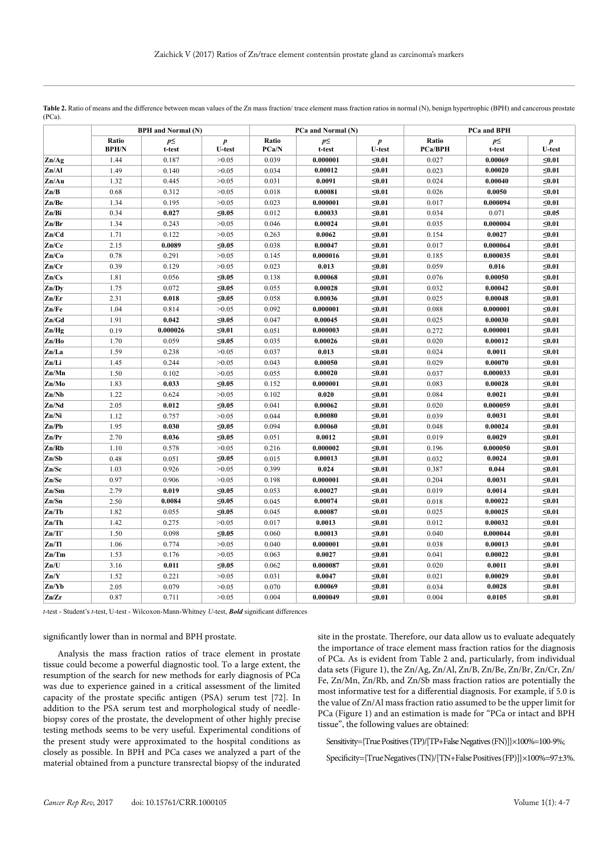|                           | <b>BPH</b> and Normal (N) |                    |                                   | PCa and Normal (N) |                    | PCa and BPH                       |                         |                    |                                   |
|---------------------------|---------------------------|--------------------|-----------------------------------|--------------------|--------------------|-----------------------------------|-------------------------|--------------------|-----------------------------------|
|                           | Ratio<br><b>BPH/N</b>     | $p \leq$<br>t-test | $\boldsymbol{p}$<br><b>U-test</b> | Ratio<br>PCa/N     | $p \leq$<br>t-test | $\boldsymbol{p}$<br><b>U-test</b> | Ratio<br><b>PCa/BPH</b> | $p \leq$<br>t-test | $\boldsymbol{p}$<br><b>U-test</b> |
| $\mathbf{Zn}$ /Ag         | 1.44                      | 0.187              | >0.05                             | 0.039              | 0.000001           | $\leq 0.01$                       | 0.027                   | 0.00069            | ≤0.01                             |
| Zn/Al                     | 1.49                      | 0.140              | >0.05                             | 0.034              | 0.00012            | ≤0.01                             | 0.023                   | 0.00020            | ≤0.01                             |
| $\mathbf{Zn}/\mathbf{Au}$ | 1.32                      | 0.445              | >0.05                             | 0.031              | 0.0091             | $\leq 0.01$                       | 0.024                   | 0.00040            | ≤0.01                             |
| Zn/B                      | 0.68                      | 0.312              | >0.05                             | 0.018              | 0.00081            | ≤0.01                             | 0.026                   | 0.0050             | ≤0.01                             |
| Zn/Be                     | 1.34                      | 0.195              | >0.05                             | 0.023              | 0.000001           | ≤0.01                             | 0.017                   | 0.000094           | ≤0.01                             |
| Zn/Bi                     | 0.34                      | 0.027              | ≤0.05                             | 0.012              | 0.00033            | $\leq 0.01$                       | 0.034                   | 0.071              | ≤0.05                             |
| Zn/Br                     | 1.34                      | 0.243              | >0.05                             | 0.046              | 0.00024            | ≤0.01                             | 0.035                   | 0.000004           | ≤0.01                             |
| Zn/Cd                     | 1.71                      | 0.122              | >0.05                             | 0.263              | 0.0062             | ≤0.01                             | 0.154                   | 0.0027             | $\leq 0.01$                       |
| Zn/Ce                     | 2.15                      | 0.0089             | ≤0.05                             | 0.038              | 0.00047            | $\leq 0.01$                       | 0.017                   | 0.000064           | $\leq 0.01$                       |
| Zn/Co                     | 0.78                      | 0.291              | >0.05                             | 0.145              | 0.000016           | ≤0.01                             | 0.185                   | 0.000035           | $\leq 0.01$                       |
| Zn/Cr                     | 0.39                      | 0.129              | >0.05                             | 0.023              | 0.013              | $≤0.01$                           | 0.059                   | 0.016              | $≤0.01$                           |
| Zn/Cs                     | 1.81                      | 0.056              | ≤0.05                             | 0.138              | 0.00068            | $\leq 0.01$                       | 0.076                   | 0.00050            | $≤0.01$                           |
| Zn/Dy                     | 1.75                      | 0.072              | ≤0.05                             | 0.055              | 0.00028            | $\leq 0.01$                       | 0.032                   | 0.00042            | $≤0.01$                           |
| Zn/Er                     | 2.31                      | 0.018              | ≤0.05                             | 0.058              | 0.00036            | $≤0.01$                           | 0.025                   | 0.00048            | $≤0.01$                           |
| Zn/Fe                     | 1.04                      | 0.814              | >0.05                             | 0.092              | 0.000001           | $≤0.01$                           | 0.088                   | 0.000001           | $≤0.01$                           |
| Zn/Gd                     | 1.91                      | 0.042              | ≤0.05                             | 0.047              | 0.00045            | $\leq 0.01$                       | 0.025                   | 0.00030            | $\leq 0.01$                       |
| Zn/Hg                     | 0.19                      | 0.000026           | $\leq 0.01$                       | 0.051              | 0.000003           | $\leq 0.01$                       | 0.272                   | 0.000001           | $\leq 0.01$                       |
| Zn/Ho                     | 1.70                      | 0.059              | ≤0.05                             | 0.035              | 0.00026            | ≤0.01                             | 0.020                   | 0.00012            | ≤0.01                             |
| Zn/La                     | 1.59                      | 0.238              | >0.05                             | 0.037              | 0.013              | $\leq 0.01$                       | 0.024                   | 0.0011             | $≤0.01$                           |
| Zn/Li                     | 1.45                      | 0.244              | >0.05                             | 0.043              | 0.00050            | ≤0.01                             | 0.029                   | 0.00070            | ≤0.01                             |
| Zn/Mn                     | 1.50                      | 0.102              | >0.05                             | 0.055              | 0.00020            | ≤0.01                             | 0.037                   | 0.000033           | ≤0.01                             |
| Zn/Mo                     | 1.83                      | 0.033              | ≤0.05                             | 0.152              | 0.000001           | ≤0.01                             | 0.083                   | 0.00028            | $≤0.01$                           |
| Zn/Nb                     | 1.22                      | 0.624              | >0.05                             | 0.102              | 0.020              | ≤0.01                             | 0.084                   | 0.0021             | ≤0.01                             |
| Zn/Nd                     | 2.05                      | 0.012              | ${\leq}0.05$                      | 0.041              | 0.00062            | $\leq 0.01$                       | 0.020                   | 0.000059           | ≤0.01                             |
| Zn/Ni                     | 1.12                      | 0.757              | >0.05                             | 0.044              | 0.00080            | ≤0.01                             | 0.039                   | 0.0031             | $≤0.01$                           |
| Zn/Pb                     | 1.95                      | 0.030              | ≤0.05                             | 0.094              | 0.00060            | ≤0.01                             | 0.048                   | 0.00024            | $≤0.01$                           |
| Zn/Pr                     | 2.70                      | 0.036              | $≤0.05$                           | 0.051              | 0.0012             | $≤0.01$                           | 0.019                   | 0.0029             | $≤0.01$                           |
| Zn/Rb                     | 1.10                      | 0.578              | >0.05                             | 0.216              | 0.000002           | $\leq 0.01$                       | 0.196                   | 0.000050           | $\leq 0.01$                       |
| Zn/Sb                     | 0.48                      | 0.051              | $≤0.05$                           | 0.015              | 0.00013            | ≤0.01                             | 0.032                   | 0.0024             | $≤0.01$                           |
| Zn/Sc                     | 1.03                      | 0.926              | >0.05                             | 0.399              | 0.024              | ≤0.01                             | 0.387                   | 0.044              | $≤0.01$                           |
| Zn/Se                     | 0.97                      | 0.906              | >0.05                             | 0.198              | 0.000001           | $\leq 0.01$                       | 0.204                   | 0.0031             | $≤0.01$                           |
| Zn/Sm                     | 2.79                      | 0.019              | $≤0.05$                           | 0.053              | 0.00027            | ≤0.01                             | 0.019                   | 0.0014             | $≤0.01$                           |
| Zn/Sn                     | 2.50                      | 0.0084             | $≤0.05$                           | 0.045              | 0.00074            | $≤0.01$                           | 0.018                   | 0.00022            | $≤0.01$                           |
| Zn/Tb                     | 1.82                      | 0.055              | ≤0.05                             | 0.045              | 0.00087            | $\leq 0.01$                       | 0.025                   | 0.00025            | ≤0.01                             |
| Zn/Th                     | 1.42                      | 0.275              | >0.05                             | 0.017              | 0.0013             | $\leq 0.01$                       | 0.012                   | 0.00032            | $≤0.01$                           |
| $Zn/Ti^*$                 | 1.50                      | 0.098              | ≤0.05                             | 0.060              | 0.00013            | $\leq 0.01$                       | 0.040                   | 0.000044           | ≤0.01                             |
| Zn/Tl                     | 1.06                      | 0.774              | >0.05                             | 0.040              | 0.000001           | $\leq 0.01$                       | 0.038                   | 0.00013            | ≤0.01                             |
| Zn/Tm                     | 1.53                      | 0.176              | >0.05                             | 0.063              | 0.0027             | ≤0.01                             | 0.041                   | 0.00022            | ≤0.01                             |
| Zn/U                      | 3.16                      | 0.011              | ≤0.05                             | 0.062              | 0.000087           | ≤0.01                             | 0.020                   | 0.0011             | ≤0.01                             |
| Zn/Y                      | 1.52                      | 0.221              | >0.05                             | 0.031              | 0.0047             | $\leq 0.01$                       | 0.021                   | 0.00029            | ≤0.01                             |
| Zn/Yb                     | 2.05                      | 0.079              | >0.05                             | 0.070              | 0.00069            | $\leq 0.01$                       | 0.034                   | 0.0028             | ≤0.01                             |
| Zn/Zr                     | 0.87                      | 0.711              | >0.05                             | 0.004              | 0.000049           | $\leq 0.01$                       | 0.004                   | 0.0105             | $\leq 0.01$                       |

Table 2. Ratio of means and the difference between mean values of the Zn mass fraction/ trace element mass fraction ratios in normal (N), benign hypertrophic (BPH) and cancerous prostate (PCa).

*t*-test - Student's *t*-test, U-test - Wilcoxon-Mann-Whitney *U*-test, *Bold* significant differences

#### significantly lower than in normal and BPH prostate.

Analysis the mass fraction ratios of trace element in prostate tissue could become a powerful diagnostic tool. To a large extent, the resumption of the search for new methods for early diagnosis of PCa was due to experience gained in a critical assessment of the limited capacity of the prostate specific antigen (PSA) serum test [72]. In addition to the PSA serum test and morphological study of needlebiopsy cores of the prostate, the development of other highly precise testing methods seems to be very useful. Experimental conditions of the present study were approximated to the hospital conditions as closely as possible. In BPH and PCa cases we analyzed a part of the material obtained from a puncture transrectal biopsy of the indurated

site in the prostate. Therefore, our data allow us to evaluate adequately the importance of trace element mass fraction ratios for the diagnosis of PCa. As is evident from Table 2 and, particularly, from individual data sets (Figure 1), the Zn/Ag, Zn/Al, Zn/B, Zn/Be, Zn/Br, Zn/Cr, Zn/ Fe, Zn/Mn, Zn/Rb, and Zn/Sb mass fraction ratios are potentially the most informative test for a differential diagnosis. For example, if 5.0 is the value of Zn/Al mass fraction ratio assumed to be the upper limit for PCa (Figure 1) and an estimation is made for "PCa or intact and BPH tissue", the following values are obtained:

Sensitivity={True Positives (TP)/[TP+False Negatives (FN)]}×100%=100-9%;

Specificity={True Negatives (TN)/[TN+False Positives (FP)]}×100%=97±3%.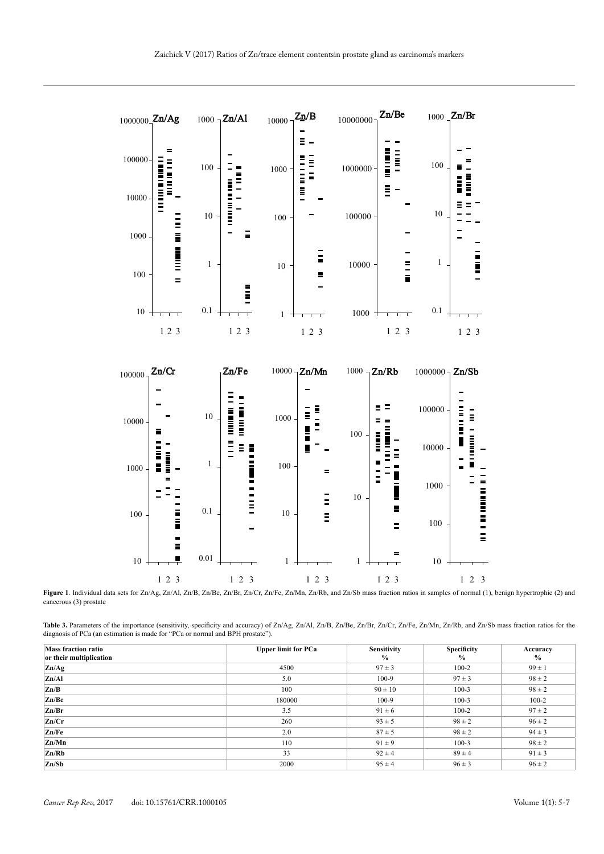

Figure 1. Individual data sets for Zn/Ag, Zn/Al, Zn/B, Zn/Be, Zn/Br, Zn/Cr, Zn/Fe, Zn/Mn, Zn/Rb, and Zn/Sb mass fraction ratios in samples of normal (1), benign hypertrophic (2) and cancerous (3) prostate

Table 3. Parameters of the importance (sensitivity, specificity and accuracy) of Zn/Ag, Zn/Al, Zn/B, Zn/Be, Zn/Br, Zn/Cr, Zn/Fe, Zn/Mn, Zn/Rb, and Zn/Sb mass fraction ratios for the diagnosis of PCa (an estimation is made for "PCa or normal and BPH prostate").

| <b>Mass fraction ratio</b><br>or their multiplication | <b>Upper limit for PCa</b> | <b>Sensitivity</b><br>$\%$ | <b>Specificity</b><br>$\frac{6}{9}$ | Accuracy<br>$\%$ |
|-------------------------------------------------------|----------------------------|----------------------------|-------------------------------------|------------------|
| Zn/Ag                                                 | 4500                       | $97 \pm 3$                 | $100 - 2$                           | $99 \pm 1$       |
| Zn/Al                                                 | 5.0                        | $100-9$                    | $97 \pm 3$                          | $98 \pm 2$       |
| Zn/B                                                  | 100                        | $90 \pm 10$                | $100-3$                             | $98 \pm 2$       |
| Zn/Be                                                 | 180000                     | $100-9$                    | $100-3$                             | $100 - 2$        |
| Zn/Br                                                 | 3.5                        | $91 \pm 6$                 | $100 - 2$                           | $97 \pm 2$       |
| Zn/Cr                                                 | 260                        | $93 \pm 5$                 | $98 \pm 2$                          | $96 \pm 2$       |
| Zn/Fe                                                 | 2.0                        | $87 \pm 5$                 | $98 \pm 2$                          | $94 \pm 3$       |
| Zn/Mn                                                 | 110                        | $91 \pm 9$                 | $100-3$                             | $98 \pm 2$       |
| Zn/Rb                                                 | 33                         | $92 \pm 4$                 | $89 \pm 4$                          | $91 \pm 3$       |
| Zn/Sb                                                 | 2000                       | $95 \pm 4$                 | $96 \pm 3$                          | $96 \pm 2$       |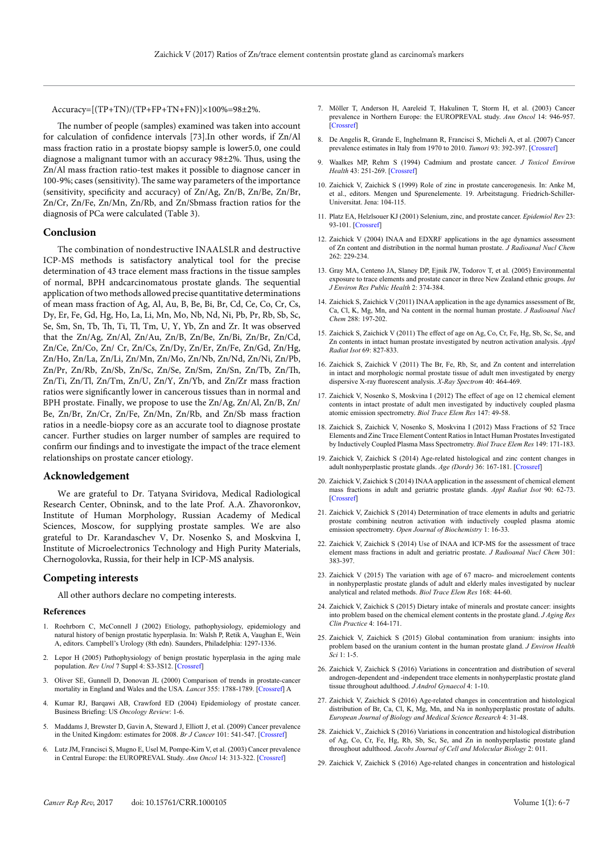Accuracy=[(TP+TN)/(TP+FP+TN+FN)]×100%=98±2%.

The number of people (samples) examined was taken into account for calculation of confidence intervals [73].In other words, if Zn/Al mass fraction ratio in a prostate biopsy sample is lower5.0, one could diagnose a malignant tumor with an accuracy 98±2%. Thus, using the Zn/Al mass fraction ratio-test makes it possible to diagnose cancer in 100-9%; cases (sensitivity). The same way parameters of the importance (sensitivity, specificity and accuracy) of Zn/Ag, Zn/B, Zn/Be, Zn/Br, Zn/Cr, Zn/Fe, Zn/Mn, Zn/Rb, and Zn/Sbmass fraction ratios for the diagnosis of PCa were calculated (Table 3).

#### **Conclusion**

The combination of nondestructive INAALSLR and destructive ICP-MS methods is satisfactory analytical tool for the precise determination of 43 trace element mass fractions in the tissue samples of normal, BPH andcarcinomatous prostate glands. The sequential application of two methods allowed precise quantitative determinations of mean mass fraction of Ag, Al, Au, B, Be, Bi, Br, Cd, Ce, Co, Cr, Cs, Dy, Er, Fe, Gd, Hg, Ho, La, Li, Mn, Mo, Nb, Nd, Ni, Pb, Pr, Rb, Sb, Sc, Se, Sm, Sn, Tb, Th, Ti, Tl, Tm, U, Y, Yb, Zn and Zr. It was observed that the Zn/Ag, Zn/Al, Zn/Au, Zn/B, Zn/Be, Zn/Bi, Zn/Br, Zn/Cd, Zn/Ce, Zn/Co, Zn/ Cr, Zn/Cs, Zn/Dy, Zn/Er, Zn/Fe, Zn/Gd, Zn/Hg, Zn/Ho, Zn/La, Zn/Li, Zn/Mn, Zn/Mo, Zn/Nb, Zn/Nd, Zn/Ni, Zn/Pb, Zn/Pr, Zn/Rb, Zn/Sb, Zn/Sc, Zn/Se, Zn/Sm, Zn/Sn, Zn/Tb, Zn/Th, Zn/Ti, Zn/Tl, Zn/Tm, Zn/U, Zn/Y, Zn/Yb, and Zn/Zr mass fraction ratios were significantly lower in cancerous tissues than in normal and BPH prostate. Finally, we propose to use the Zn/Ag, Zn/Al, Zn/B, Zn/ Be, Zn/Br, Zn/Cr, Zn/Fe, Zn/Mn, Zn/Rb, and Zn/Sb mass fraction ratios in a needle-biopsy core as an accurate tool to diagnose prostate cancer. Further studies on larger number of samples are required to confirm our findings and to investigate the impact of the trace element relationships on prostate cancer etiology.

#### **Acknowledgement**

We are grateful to Dr. Tatyana Sviridova, Medical Radiological Research Center, Obninsk, and to the late Prof. A.A. Zhavoronkov, Institute of Human Morphology, Russian Academy of Medical Sciences, Moscow, for supplying prostate samples. We are also grateful to Dr. Karandaschev V, Dr. Nosenko S, and Moskvina I, Institute of Microelectronics Technology and High Purity Materials, Chernogolovka, Russia, for their help in ICP-MS analysis.

#### **Competing interests**

All other authors declare no competing interests.

#### **References**

- 1. Roehrborn C, McConnell J (2002) Etiology, pathophysiology, epidemiology and natural history of benign prostatic hyperplasia. In: Walsh P, Retik A, Vaughan E, Wein A, editors. Campbell's Urology (8th edn). Saunders, Philadelphia: 1297-1336.
- 2. Lepor H (2005) Pathophysiology of benign prostatic hyperplasia in the aging male population. *Rev Urol* 7 Suppl 4: S3-3S12. [\[Crossref\]](http://www.ncbi.nlm.nih.gov/pubmed/16986052)
- 3. Oliver SE, Gunnell D, Donovan JL (2000) Comparison of trends in prostate-cancer mortality in England and Wales and the USA. *Lancet* 355: 1788-1789. [\[Crossref\]](http://www.ncbi.nlm.nih.gov/pubmed/10832832) A
- 4. Kumar RJ, Barqawi AB, Crawford ED (2004) Epidemiology of prostate cancer. Business Briefing: US *Oncology Review*: 1-6.
- 5. Maddams J, Brewster D, Gavin A, Steward J, Elliott J, et al. (2009) Cancer prevalence in the United Kingdom: estimates for 2008. *Br J Cancer* 101: 541-547. [\[Crossref\]](http://www.ncbi.nlm.nih.gov/pubmed/19568236)
- 6. Lutz JM, Francisci S, Mugno E, Usel M, Pompe-Kirn V, et al. (2003) Cancer prevalence in Central Europe: the EUROPREVAL Study. *Ann Oncol* 14: 313-322. [\[Crossref\]](http://www.ncbi.nlm.nih.gov/pubmed/12562661)
- 7. Möller T, Anderson H, Aareleid T, Hakulinen T, Storm H, et al. (2003) Cancer prevalence in Northern Europe: the EUROPREVAL study. *Ann Oncol* 14: 946-957. [\[Crossref\]](http://www.ncbi.nlm.nih.gov/pubmed/12796034)
- 8. De Angelis R, Grande E, Inghelmann R, Francisci S, Micheli A, et al. (2007) Cancer prevalence estimates in Italy from 1970 to 2010. *Tumori* 93: 392-397. [\[Crossref\]](http://www.ncbi.nlm.nih.gov/pubmed/17899871)
- 9. Waalkes MP, Rehm S (1994) Cadmium and prostate cancer. *J Toxicol Environ Health* 43: 251-269. [\[Crossref\]](http://www.ncbi.nlm.nih.gov/pubmed/7966437)
- 10. Zaichick V, Zaichick S (1999) Role of zinc in prostate cancerogenesis. In: Anke M, et al., editors. Mengen und Spurenelemente. 19. Arbeitstagung. Friedrich-Schiller-Universitat. Jena: 104-115.
- 11. Platz EA, Helzlsouer KJ (2001) Selenium, zinc, and prostate cancer. *Epidemiol Rev* 23: 93-101. [\[Crossref\]](http://www.ncbi.nlm.nih.gov/pubmed/11588860)
- 12. Zaichick V (2004) INAA and EDXRF applications in the age dynamics assessment of Zn content and distribution in the normal human prostate. *J Radioanal Nucl Chem* 262: 229-234.
- 13. Gray MA, Centeno JA, Slaney DP, Ejnik JW, Todorov T, et al. (2005) Environmental exposure to trace elements and prostate cancer in three New Zealand ethnic groups. *Int J Environ Res Public Health* 2: 374-384.
- 14. Zaichick S, Zaichick V (2011) INAA application in the age dynamics assessment of Br, Ca, Cl, K, Mg, Mn, and Na content in the normal human prostate. *J Radioanal Nucl Chem* 288: 197-202.
- 15. Zaichick S, Zaichick V (2011) The effect of age on Ag, Co, Cr, Fe, Hg, Sb, Sc, Se, and Zn contents in intact human prostate investigated by neutron activation analysis. *Appl Radiat Isot* 69: 827-833.
- 16. Zaichick S, Zaichick V (2011) The Br, Fe, Rb, Sr, and Zn content and interrelation in intact and morphologic normal prostate tissue of adult men investigated by energy dispersive X-ray fluorescent analysis. *X-Ray Spectrom* 40: 464-469.
- 17. Zaichick V, Nosenko S, Moskvina I (2012) The effect of age on 12 chemical element contents in intact prostate of adult men investigated by inductively coupled plasma atomic emission spectrometry. *Biol Trace Elem Res* 147: 49-58.
- 18. Zaichick S, Zaichick V, Nosenko S, Moskvina I (2012) Mass Fractions of 52 Trace Elements and Zinc Trace Element Content Ratios in Intact Human Prostates Investigated by Inductively Coupled Plasma Mass Spectrometry. *Biol Trace Elem Res* 149: 171-183.
- 19. Zaichick V, Zaichick S (2014) Age-related histological and zinc content changes in adult nonhyperplastic prostate glands. *Age (Dordr)* 36: 167-181. [\[Crossref\]](http://www.ncbi.nlm.nih.gov/pubmed/23852618)
- 20. Zaichick V, Zaichick S (2014) INAA application in the assessment of chemical element mass fractions in adult and geriatric prostate glands. *Appl Radiat Isot* 90: 62-73. [\[Crossref\]](http://www.ncbi.nlm.nih.gov/pubmed/24704913)
- 21. Zaichick V, Zaichick S (2014) Determination of trace elements in adults and geriatric prostate combining neutron activation with inductively coupled plasma atomic emission spectrometry. *Open Journal of Biochemistry* 1: 16-33.
- 22. Zaichick V, Zaichick S (2014) Use of INAA and ICP-MS for the assessment of trace element mass fractions in adult and geriatric prostate. *J Radioanal Nucl Chem* 301: 383-397.
- 23. Zaichick V (2015) The variation with age of 67 macro- and microelement contents in nonhyperplastic prostate glands of adult and elderly males investigated by nuclear analytical and related methods. *Biol Trace Elem Res* 168: 44-60.
- 24. Zaichick V, Zaichick S (2015) Dietary intake of minerals and prostate cancer: insights into problem based on the chemical element contents in the prostate gland. *J Aging Res Clin Practice* 4: 164-171.
- 25. Zaichick V, Zaichick S (2015) Global contamination from uranium: insights into problem based on the uranium content in the human prostate gland. *J Environ Health Sci* 1: 1-5.
- 26. Zaichick V, Zaichick S (2016) Variations in concentration and distribution of several androgen-dependent and -independent trace elements in nonhyperplastic prostate gland tissue throughout adulthood. *J Androl Gynaecol* 4: 1-10.
- 27. Zaichick V, Zaichick S (2016) Age-related changes in concentration and histological distribution of Br, Ca, Cl, K, Mg, Mn, and Na in nonhyperplastic prostate of adults. *European Journal of Biology and Medical Science Research* 4: 31-48.
- 28. Zaichick V., Zaichick S (2016) Variations in concentration and histological distribution of Ag, Co, Cr, Fe, Hg, Rb, Sb, Sc, Se, and Zn in nonhyperplastic prostate gland throughout adulthood. *Jacobs Journal of Cell and Molecular Biology* 2: 011.
- 29. Zaichick V, Zaichick S (2016) Age-related changes in concentration and histological